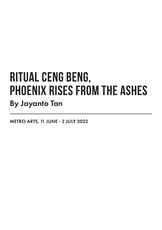## **RITUAL CENG BENG, PHOENIX RISES FROM THE ASHES** By Jayanto Tan

METRO ARTS, 11 JUNE - 2 JULY 2022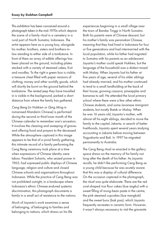This exhibition has been conceived around a photograph taken in the mid-1970s which depicts the scene of a family ritual in a cemetery in a rural part of North Sumatra, Indonesia. The artist appears here as a young boy, alongside his mother, brothers, sisters and brothers-inlaw standing to either side of a tombstone. In front of them an array of edible offerings has been placed on the ground, including plates stacked with a variety of steamed cakes, fruit and noodles. To the right a green box is visible, a treasure chest filled with paper versions of clothing, money and other worldly goods, which will shortly be burnt on the ground behind the tombstone. The rented jeep they have travelled in is visible in the background, parked a short distance from where the family has gathered.

*Ceng Beng* (in Hokkien or *Qing Ming* in romanised Mandarin Chinese) is performed during the second or third lunar month of the Chinese calendar to remember one's ancestors. It involves the cleaning and sweeping of graves and offering food and prayers to the deceased. While the atmosphere captured in this image appears to be that of a jovial family gathering, this intimate record of a family performing the Ceng Beng ceremony took place at a time when expressions of Chinese identity were taboo. President Suharto, who seized power in 1965, had supressed public displays of Chinese language, religion and culture and closed Chinese schools and organisations throughout Indonesia. While the practice of Ceng Beng was not prohibited outright, in a landscape where Indonesia's ethnic Chinese endured systemic discrimination, this photograph documents a family in a small act of resistance to the nations.

Much of Jayanto's work examines a sense of belonging, of belonging to families and belonging to nations, which draws on his life

experiences beginning in a small village near the town of Bandar Tinggi in North Sumatra. Both his parents were of Chinese descent, but his mother's family was *peranakan* Chinese, meaning that they had lived in Indonesia for four or five generations and had intermarried with the local population, while his father had migrated to Sumatra with his parents as an adolescent. Jayanto's mother could speak Hokkien, but the language of the household was a dialect mixed with Malay. When Jayanto lost his father at five years of age, several of his older siblings had already married, and his mother continued to tend to a small landholding at the back of their house, growing cassava, pineapples and bananas to sell. He attended the local primary school where there were a few other ethnic Chinese students, and some Javanese immigrant students, but mostly Batak or Malay. When he was 16 years old, Jayanto's mother, with almost all his eight siblings, decided to move the family to the capital, Jakarta, in search of better livelihoods. Jayanto spent several years studying accounting in Jakarta before moving between Yogyakarta and Bali. In 1997 he migrated permanently to Australia.

The Ceng Beng ritual re-enacted in the gallery space draws on the memory of his family not long after the death of his father. As Jayanto recalls, he didn't like performing Ceng Beng as a young child because he was acutely aware that this was a display of cultural difference. On the occasion captured in the photograph, the ritual was quite elaborate. There are the red oval-shaped rice flour cakes (*kue angku*) with a sweet filling of mung-bean paste in the centre, the pink steamed cupcakes (*kue mangkok*) and the sweet buns (*bak pao*), which Jayanto frequently recreates in ceramic form. However, it wasn't always necessary to visit the gravesite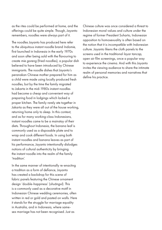as the rites could be performed at home, and the offerings could be quite simple. Though, Jayanto remembers, noodles were always part of it.

The noodles Jayanto has produced here refer to the ubiquitous instant noodle brand *Indomie*, first launched in Indonesia in the early 1970s and soon after being sold with the flavouring to create *mie goreng* (fried noodles), a popular dish believed to have been introduced by Chinese immigrants. The noodle dishes that Jayanto's peranakan Chinese mother prepared for him as a child were made using locally produced fresh noodles, but by the time the family migrated to Jakarta in the mid-1980s instant noodles had become a cheap and convenient way of preparing food in lodgings which lacked a proper kitchen. The family rarely ate together in Jakarta as they were all out of the house working, returning home only to sleep. In this context, and as for many working-class Indonesians, instant noodles came to be a mainstay of their diets. Throughout Indonesia, the banana leaf is commonly used as a disposable plate and to wrap and cook different foods. In using both instant noodles and banana leaves as part of his performance, Jayanto intentionally dislodges notions of cultural authenticity by bringing the instant noodle into the realm of the family 'tradition'.

In the same manner of intentionally re-enacting a tradition as a form of defiance, Jayanto has created a backdrop for this scene of fabric panels featuring the Chinese ornament design 'double-happiness' (*shuāngxǐ*). This is a commonly used as a decorative motif in Indonesian Chinese wedding ceremonies, often written in red or gold and pasted on walls. Here it stands for the struggle for marriage equality in Australia, and in Indonesia, where samesex marriage has not been recognised. Just as

Chinese culture was once considered a threat to Indonesian moral values and culture under the regime of former President Suharto, Indonesian opposition to homosexuality is often based on the notion that it is incompatible with Indonesian culture. Jayanto likens the cloth panels to the screens used in the traditional *layar tancap*, open air film screenings, once a popular way to experience the cinema. And with this Jayanto invites the viewing audience to share the intimate realm of personal memories and narratives that define his practice.